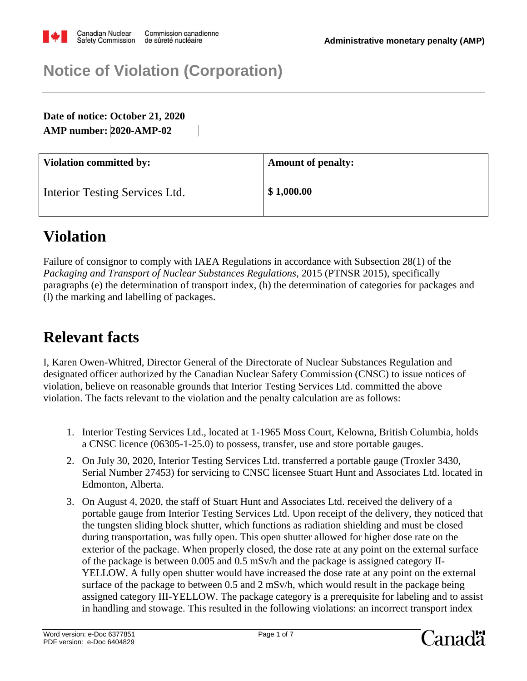

## **Notice of Violation (Corporation)**

**Date of notice: October 21, 2020 AMP number: 2020-AMP-02**

| <b>Violation committed by:</b> | <b>Amount of penalty:</b> |
|--------------------------------|---------------------------|
| Interior Testing Services Ltd. | \$1,000.00                |

# **Violation**

Failure of consignor to comply with IAEA Regulations in accordance with Subsection 28(1) of the *Packaging and Transport of Nuclear Substances Regulations*, 2015 (PTNSR 2015), specifically paragraphs (e) the determination of transport index, (h) the determination of categories for packages and (l) the marking and labelling of packages.

#### **Relevant facts**

I, Karen Owen-Whitred, Director General of the Directorate of Nuclear Substances Regulation and designated officer authorized by the Canadian Nuclear Safety Commission (CNSC) to issue notices of violation, believe on reasonable grounds that Interior Testing Services Ltd. committed the above violation. The facts relevant to the violation and the penalty calculation are as follows:

- 1. Interior Testing Services Ltd., located at 1-1965 Moss Court, Kelowna, British Columbia, holds a CNSC licence (06305-1-25.0) to possess, transfer, use and store portable gauges.
- 2. On July 30, 2020, Interior Testing Services Ltd. transferred a portable gauge (Troxler 3430, Serial Number 27453) for servicing to CNSC licensee Stuart Hunt and Associates Ltd. located in Edmonton, Alberta.
- 3. On August 4, 2020, the staff of Stuart Hunt and Associates Ltd. received the delivery of a portable gauge from Interior Testing Services Ltd. Upon receipt of the delivery, they noticed that the tungsten sliding block shutter, which functions as radiation shielding and must be closed during transportation, was fully open. This open shutter allowed for higher dose rate on the exterior of the package. When properly closed, the dose rate at any point on the external surface of the package is between 0.005 and 0.5 mSv/h and the package is assigned category II-YELLOW. A fully open shutter would have increased the dose rate at any point on the external surface of the package to between 0.5 and 2 mSv/h, which would result in the package being assigned category III-YELLOW. The package category is a prerequisite for labeling and to assist in handling and stowage. This resulted in the following violations: an incorrect transport index

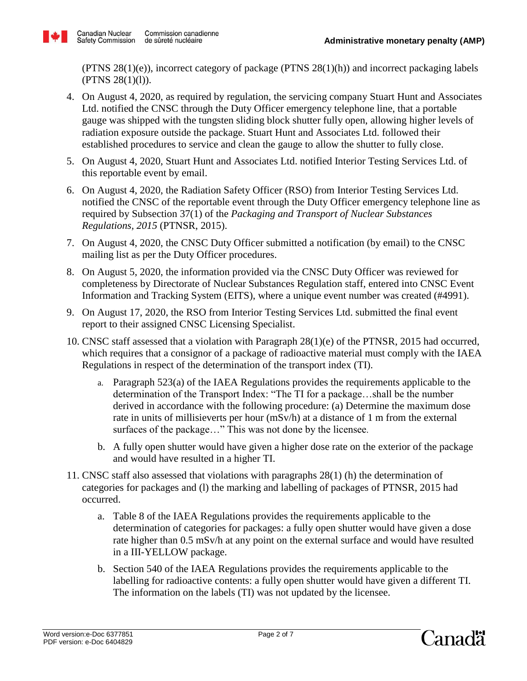

(PTNS  $28(1)(e)$ ), incorrect category of package (PTNS  $28(1)(h)$ ) and incorrect packaging labels  $(PTNS 28(1)(1)).$ 

- 4. On August 4, 2020, as required by regulation, the servicing company Stuart Hunt and Associates Ltd. notified the CNSC through the Duty Officer emergency telephone line, that a portable gauge was shipped with the tungsten sliding block shutter fully open, allowing higher levels of radiation exposure outside the package. Stuart Hunt and Associates Ltd. followed their established procedures to service and clean the gauge to allow the shutter to fully close.
- 5. On August 4, 2020, Stuart Hunt and Associates Ltd. notified Interior Testing Services Ltd. of this reportable event by email.
- 6. On August 4, 2020, the Radiation Safety Officer (RSO) from Interior Testing Services Ltd. notified the CNSC of the reportable event through the Duty Officer emergency telephone line as required by Subsection 37(1) of the *Packaging and Transport of Nuclear Substances Regulations, 2015* (PTNSR, 2015).
- 7. On August 4, 2020, the CNSC Duty Officer submitted a notification (by email) to the CNSC mailing list as per the Duty Officer procedures.
- 8. On August 5, 2020, the information provided via the CNSC Duty Officer was reviewed for completeness by Directorate of Nuclear Substances Regulation staff, entered into CNSC Event Information and Tracking System (EITS), where a unique event number was created (#4991).
- 9. On August 17, 2020, the RSO from Interior Testing Services Ltd. submitted the final event report to their assigned CNSC Licensing Specialist.
- 10. CNSC staff assessed that a violation with Paragraph 28(1)(e) of the PTNSR, 2015 had occurred, which requires that a consignor of a package of radioactive material must comply with the IAEA Regulations in respect of the determination of the transport index (TI).
	- a. Paragraph 523(a) of the IAEA Regulations provides the requirements applicable to the determination of the Transport Index: "The TI for a package…shall be the number derived in accordance with the following procedure: (a) Determine the maximum dose rate in units of millisieverts per hour (mSv/h) at a distance of 1 m from the external surfaces of the package..." This was not done by the licensee.
	- b. A fully open shutter would have given a higher dose rate on the exterior of the package and would have resulted in a higher TI.
- 11. CNSC staff also assessed that violations with paragraphs 28(1) (h) the determination of categories for packages and (l) the marking and labelling of packages of PTNSR, 2015 had occurred.
	- a. Table 8 of the IAEA Regulations provides the requirements applicable to the determination of categories for packages: a fully open shutter would have given a dose rate higher than 0.5 mSv/h at any point on the external surface and would have resulted in a III-YELLOW package.
	- b. Section 540 of the IAEA Regulations provides the requirements applicable to the labelling for radioactive contents: a fully open shutter would have given a different TI. The information on the labels (TI) was not updated by the licensee.

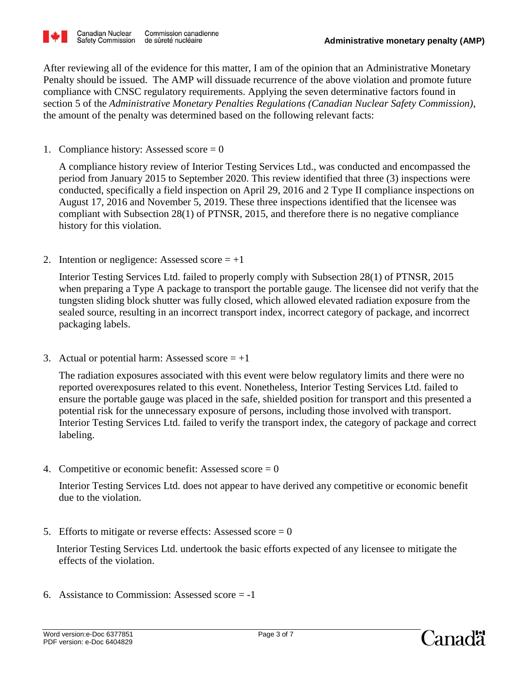

After reviewing all of the evidence for this matter, I am of the opinion that an Administrative Monetary Penalty should be issued. The AMP will dissuade recurrence of the above violation and promote future compliance with CNSC regulatory requirements. Applying the seven determinative factors found in section 5 of the *Administrative Monetary Penalties Regulations (Canadian Nuclear Safety Commission)*, the amount of the penalty was determined based on the following relevant facts:

1. Compliance history: Assessed score  $= 0$ 

 A compliance history review of Interior Testing Services Ltd., was conducted and encompassed the period from January 2015 to September 2020. This review identified that three (3) inspections were conducted, specifically a field inspection on April 29, 2016 and 2 Type II compliance inspections on August 17, 2016 and November 5, 2019. These three inspections identified that the licensee was compliant with Subsection 28(1) of PTNSR, 2015, and therefore there is no negative compliance history for this violation.

2. Intention or negligence: Assessed score  $= +1$ 

 Interior Testing Services Ltd. failed to properly comply with Subsection 28(1) of PTNSR, 2015 when preparing a Type A package to transport the portable gauge. The licensee did not verify that the tungsten sliding block shutter was fully closed, which allowed elevated radiation exposure from the sealed source, resulting in an incorrect transport index, incorrect category of package, and incorrect packaging labels.

3. Actual or potential harm: Assessed score  $= +1$ 

 The radiation exposures associated with this event were below regulatory limits and there were no reported overexposures related to this event. Nonetheless, Interior Testing Services Ltd. failed to ensure the portable gauge was placed in the safe, shielded position for transport and this presented a potential risk for the unnecessary exposure of persons, including those involved with transport. Interior Testing Services Ltd. failed to verify the transport index, the category of package and correct labeling.

4. Competitive or economic benefit: Assessed score  $= 0$ 

 Interior Testing Services Ltd. does not appear to have derived any competitive or economic benefit due to the violation.

5. Efforts to mitigate or reverse effects: Assessed score  $= 0$ 

 Interior Testing Services Ltd. undertook the basic efforts expected of any licensee to mitigate the effects of the violation.

6. Assistance to Commission: Assessed score  $= -1$ 

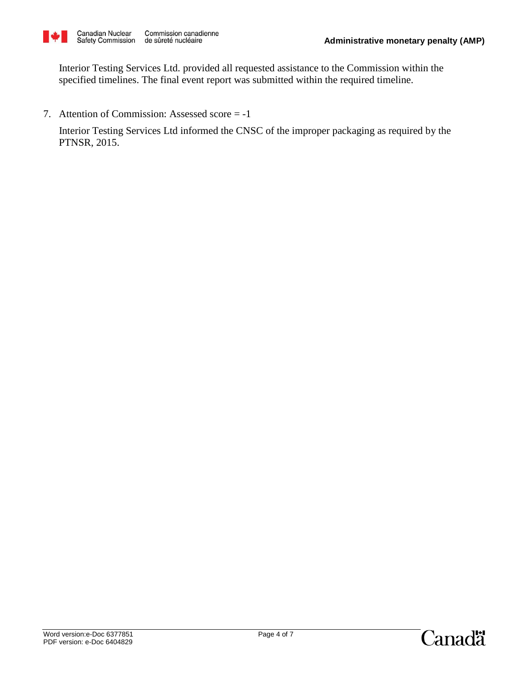

 Interior Testing Services Ltd. provided all requested assistance to the Commission within the specified timelines. The final event report was submitted within the required timeline.

7. Attention of Commission: Assessed score = -1

 Interior Testing Services Ltd informed the CNSC of the improper packaging as required by the PTNSR, 2015.

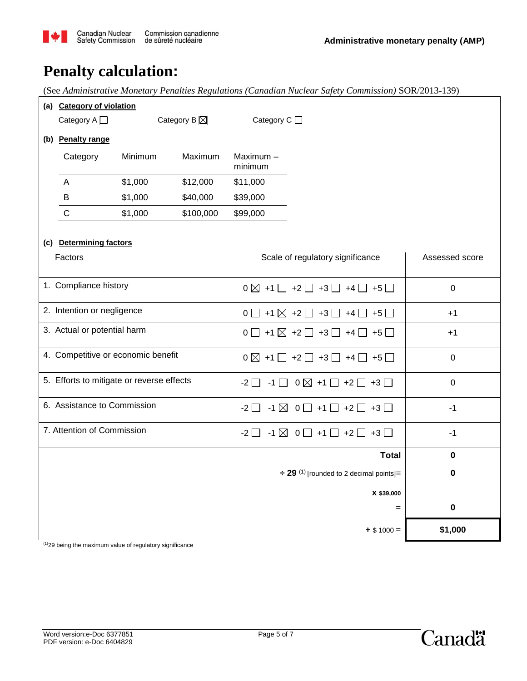

### **Penalty calculation:**

(See *Administrative Monetary Penalties Regulations (Canadian Nuclear Safety Commission)* SOR/2013-139)

| (a) Category of violation<br>Category $A \Box$<br>Category B $\boxtimes$ |                   |         |           | Category C □        |                                                                   |                |
|--------------------------------------------------------------------------|-------------------|---------|-----------|---------------------|-------------------------------------------------------------------|----------------|
|                                                                          | (b) Penalty range |         |           |                     |                                                                   |                |
|                                                                          | Category          | Minimum | Maximum   | Maximum-<br>minimum |                                                                   |                |
|                                                                          | A                 | \$1,000 | \$12,000  | \$11,000            |                                                                   |                |
|                                                                          | B                 | \$1,000 | \$40,000  | \$39,000            |                                                                   |                |
|                                                                          | $\mathsf C$       | \$1,000 | \$100,000 | \$99,000            |                                                                   |                |
|                                                                          |                   |         |           |                     |                                                                   |                |
| (c) Determining factors<br>Factors                                       |                   |         |           |                     | Scale of regulatory significance                                  | Assessed score |
| 1. Compliance history                                                    |                   |         |           |                     | $0\boxtimes$ +1 $\Box$ +2 $\Box$ +3 $\Box$ +4 $\Box$ +5 $\Box$    | $\pmb{0}$      |
| 2. Intention or negligence                                               |                   |         |           |                     | $0$ $\Box$ +1 $\boxtimes$ +2 $\Box$ +3 $\Box$ +4 $\Box$ +5 $\Box$ | $+1$           |
| 3. Actual or potential harm                                              |                   |         |           |                     | $0$ $\Box$ +1 $\boxtimes$ +2 $\Box$ +3 $\Box$ +4 $\Box$ +5 $\Box$ | $+1$           |
| 4. Competitive or economic benefit                                       |                   |         |           |                     | $0\boxtimes$ +1 $\Box$ +2 $\Box$ +3 $\Box$ +4 $\Box$ +5 $\Box$    | $\pmb{0}$      |
| 5. Efforts to mitigate or reverse effects                                |                   |         |           |                     | $-2$ $-1$ $\Box$ 0 $\boxtimes$ +1 $\Box$ +2 $\Box$ +3 $\Box$      | $\pmb{0}$      |
| 6. Assistance to Commission                                              |                   |         |           |                     | $-2$ $-1$ $\boxtimes$ 0 $-1$ +1 $-$ +2 $-$ +3 $-$                 | $-1$           |
| 7. Attention of Commission                                               |                   |         |           | $-2\Box$            | $-1\boxtimes$ 0 $\Box$ +1 $\Box$ +2 $\Box$ +3 $\Box$              | $-1$           |
| <b>Total</b>                                                             |                   |         |           |                     | $\mathbf 0$                                                       |                |
| $\div$ 29 <sup>(1)</sup> [rounded to 2 decimal points]=                  |                   |         |           |                     | 0                                                                 |                |
| X \$39,000                                                               |                   |         |           |                     |                                                                   |                |
| $=$                                                                      |                   |         |           |                     | $\pmb{0}$                                                         |                |
| $+$ \$ 1000 =                                                            |                   |         |           |                     |                                                                   | \$1,000        |

(1)29 being the maximum value of regulatory significance

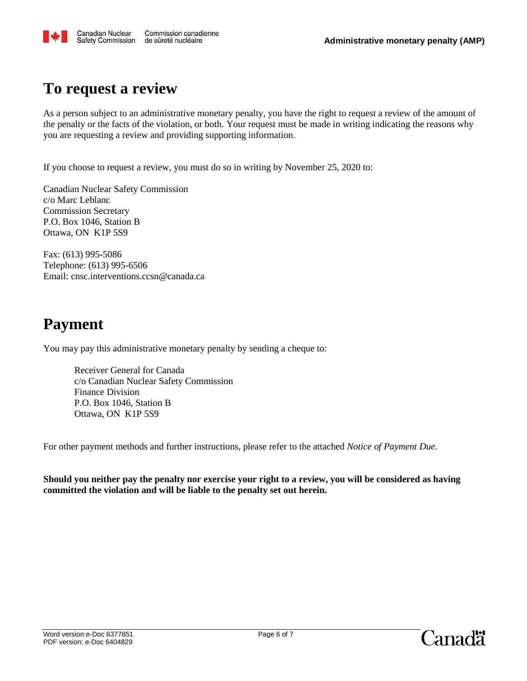

#### **To request a review**

As a person subject to an administrative monetary penalty, you have the right to request a review of the amount of the penalty or the facts of the violation, or both. Your request must be made in writing indicating the reasons why you are requesting a review and providing supporting information.

If you choose to request a review, you must do so in writing by November 25, 2020 to:

Canadian Nuclear Safety Commission c/o Marc Leblanc Commission Secretary P.O. Box 1046, Station B Ottawa, ON K1P 5S9

Fax: (613) 995-5086 Telephone: (613) 995-6506 Email: cnsc.interventions.ccsn@canada.ca

## **Payment**

You may pay this administrative monetary penalty by sending a cheque to:

Receiver General for Canada c/o Canadian Nuclear Safety Commission Finance Division P.O. Box 1046, Station B Ottawa, ON K1P 5S9

For other payment methods and further instructions, please refer to the attached *Notice of Payment Due*.

**Should you neither pay the penalty nor exercise your right to a review, you will be considered as having committed the violation and will be liable to the penalty set out herein.**